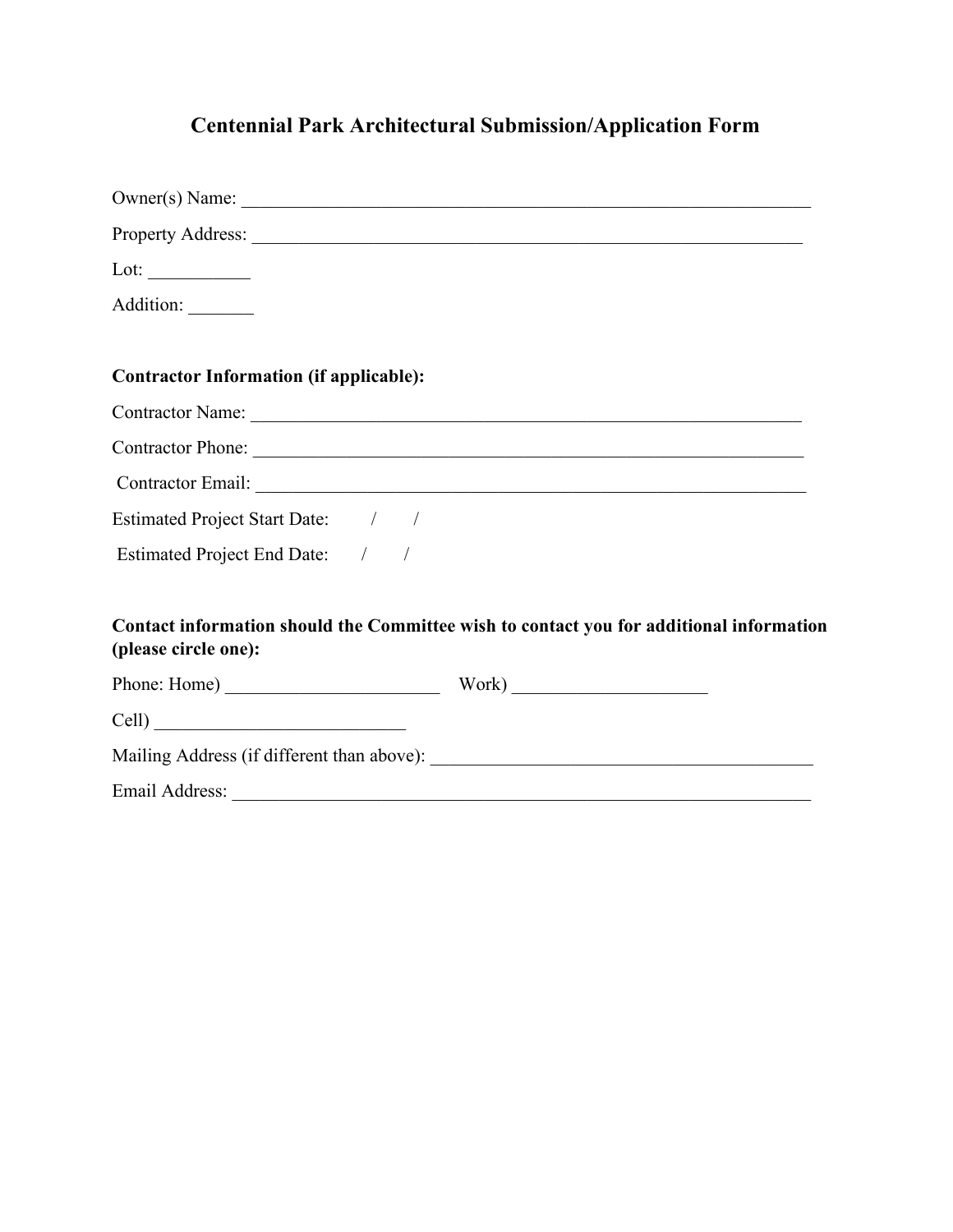# **Centennial Park Architectural Submission/Application Form**

|                                                | Owner(s) Name:                                                                          |
|------------------------------------------------|-----------------------------------------------------------------------------------------|
|                                                |                                                                                         |
| Lot: $\qquad \qquad$                           |                                                                                         |
| Addition:                                      |                                                                                         |
| <b>Contractor Information (if applicable):</b> |                                                                                         |
|                                                |                                                                                         |
|                                                |                                                                                         |
|                                                | Contractor Email: New York Contractor Email:                                            |
| Estimated Project Start Date: / /              |                                                                                         |
| Estimated Project End Date: / /                |                                                                                         |
| (please circle one):                           | Contact information should the Committee wish to contact you for additional information |
| Phone: Home) Work) Work                        |                                                                                         |
| Cell)                                          |                                                                                         |
|                                                |                                                                                         |
|                                                |                                                                                         |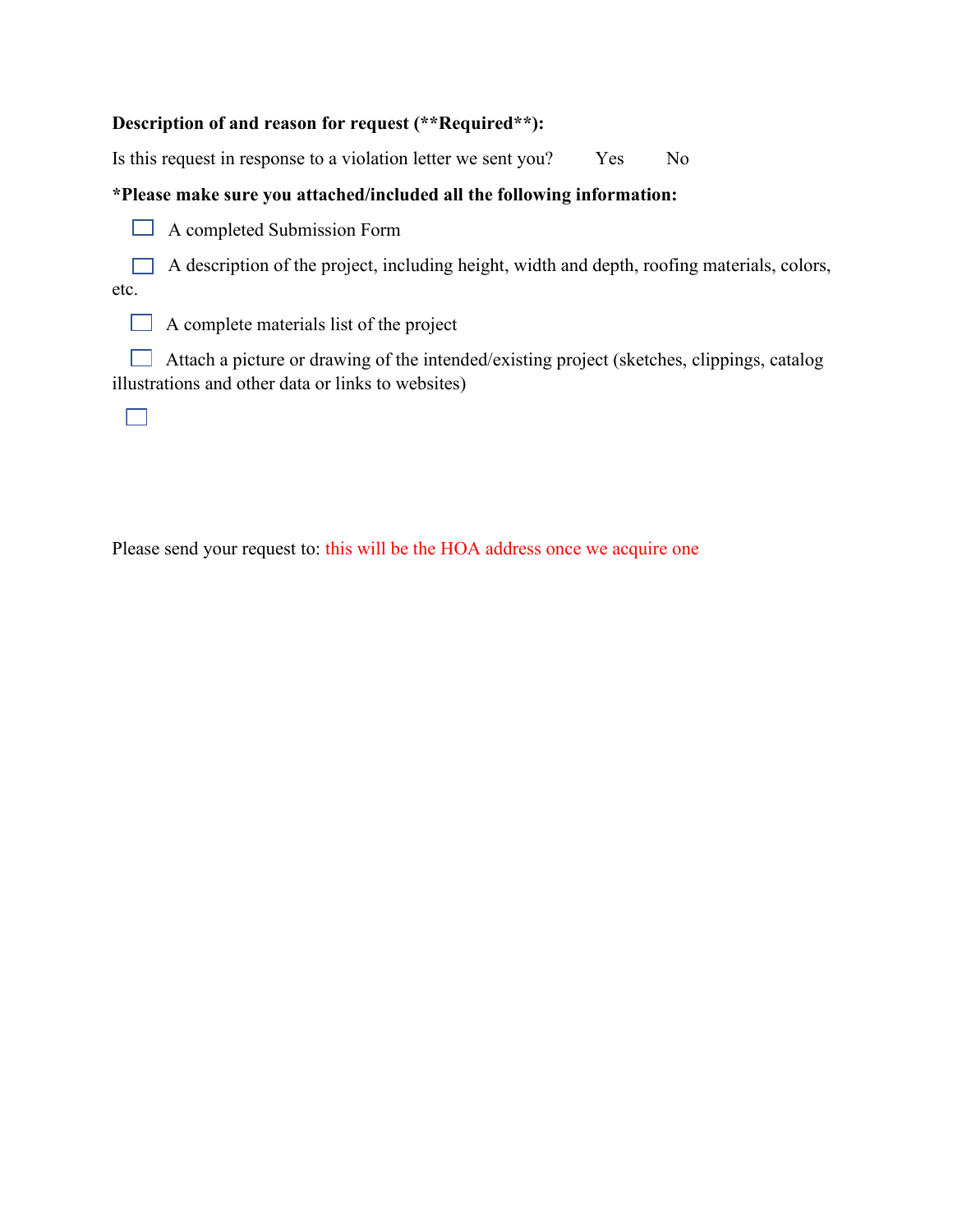## **Description of and reason for request (\*\*Required\*\*):**

Is this request in response to a violation letter we sent you? Yes No

## **\*Please make sure you attached/included all the following information:**

 $\Box$  A completed Submission Form

 $\Box$  A description of the project, including height, width and depth, roofing materials, colors, etc.

 $\Box$  A complete materials list of the project

 $\Box$  Attach a picture or drawing of the intended/existing project (sketches, clippings, catalog illustrations and other data or links to websites)

 $\Box$ 

Please send your request to: this will be the HOA address once we acquire one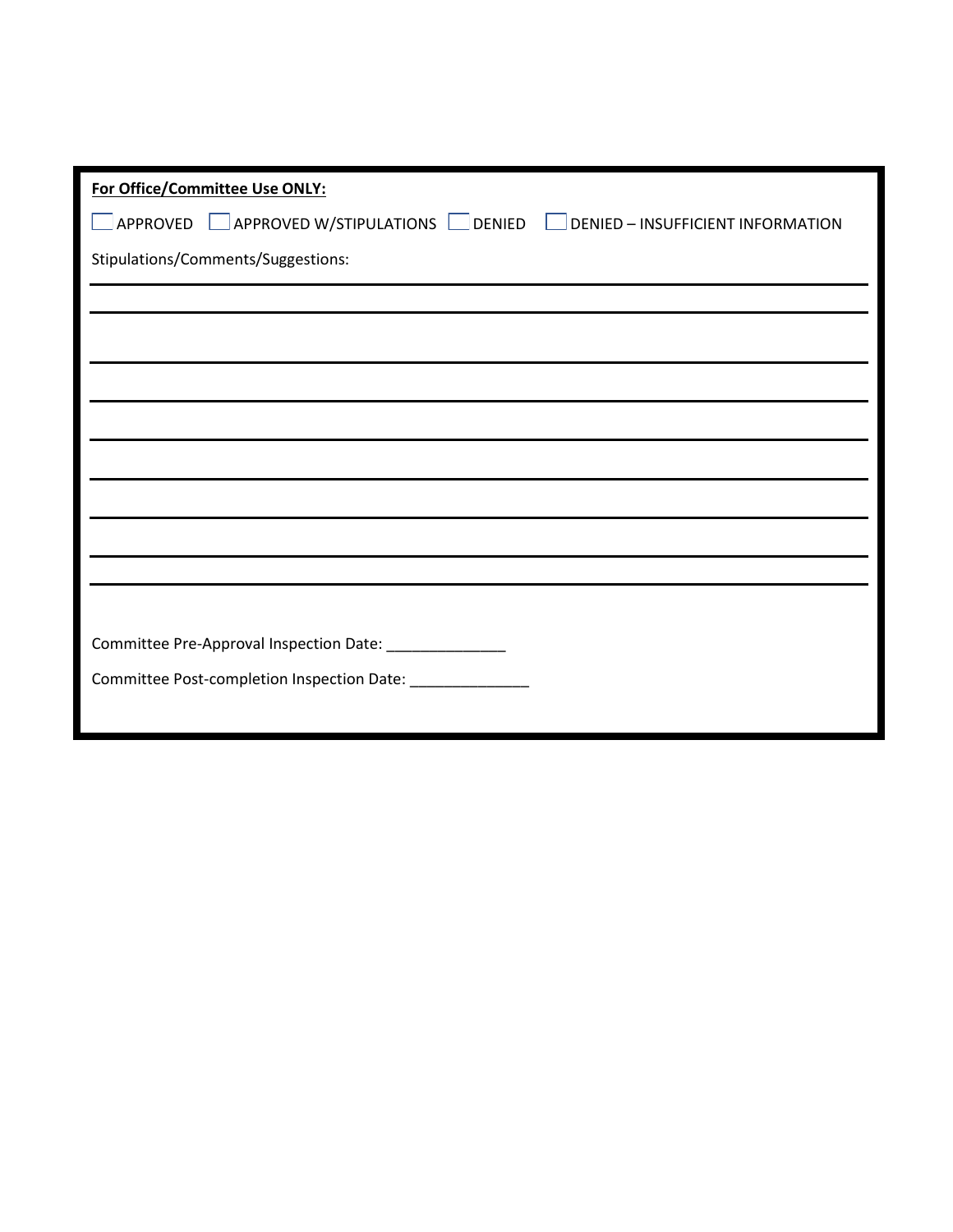| For Office/Committee Use ONLY:                                                                        |
|-------------------------------------------------------------------------------------------------------|
| $\Box$ APPROVED $\Box$ APPROVED W/STIPULATIONS $\Box$ DENIED $\Box$ DENIED – INSUFFICIENT INFORMATION |
| Stipulations/Comments/Suggestions:                                                                    |
|                                                                                                       |
|                                                                                                       |
|                                                                                                       |
|                                                                                                       |
|                                                                                                       |
|                                                                                                       |
|                                                                                                       |
|                                                                                                       |
|                                                                                                       |
| Committee Pre-Approval Inspection Date: _______________                                               |
| Committee Post-completion Inspection Date: _______________                                            |
|                                                                                                       |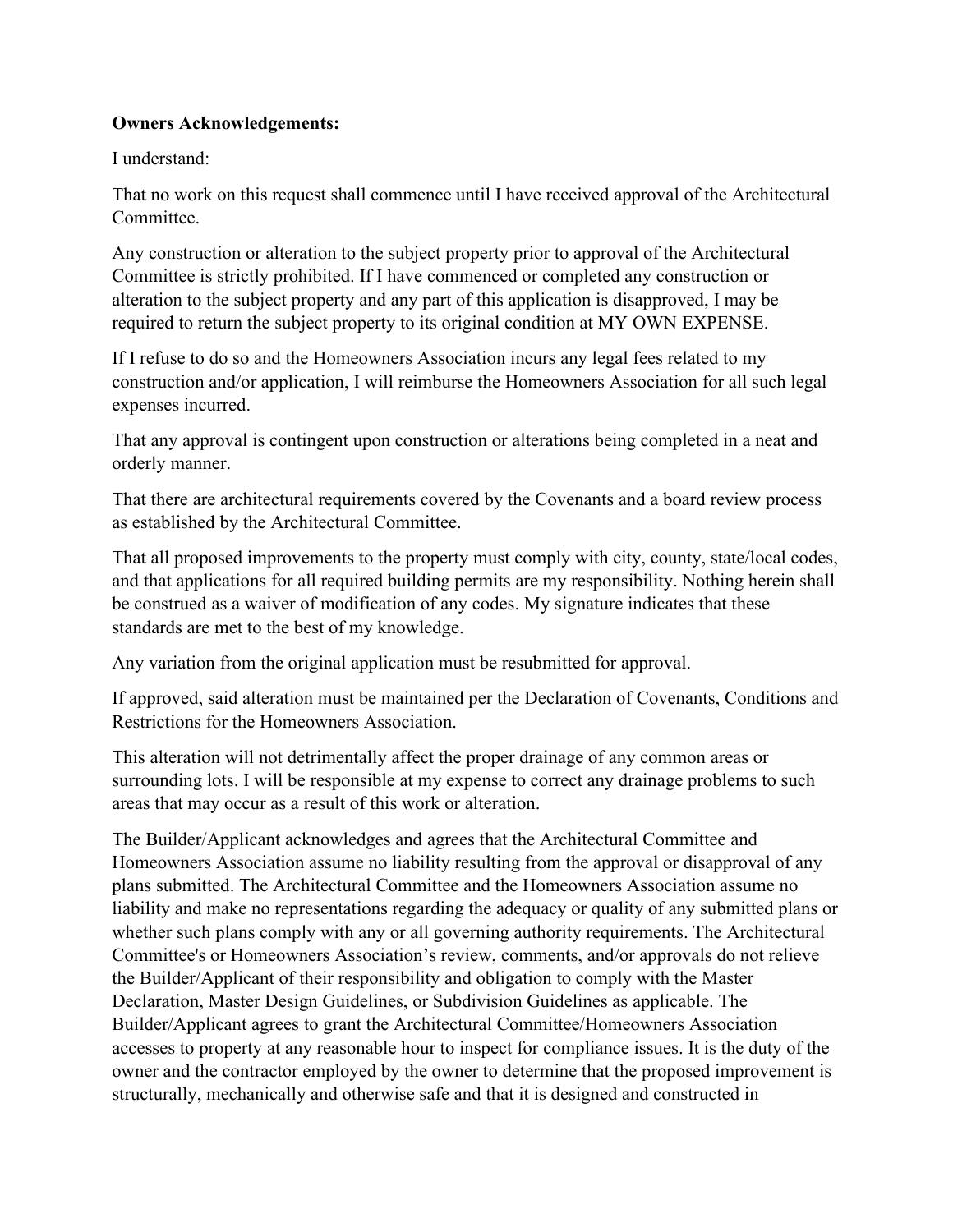### **Owners Acknowledgements:**

I understand:

That no work on this request shall commence until I have received approval of the Architectural Committee.

Any construction or alteration to the subject property prior to approval of the Architectural Committee is strictly prohibited. If I have commenced or completed any construction or alteration to the subject property and any part of this application is disapproved, I may be required to return the subject property to its original condition at MY OWN EXPENSE.

If I refuse to do so and the Homeowners Association incurs any legal fees related to my construction and/or application, I will reimburse the Homeowners Association for all such legal expenses incurred.

That any approval is contingent upon construction or alterations being completed in a neat and orderly manner.

That there are architectural requirements covered by the Covenants and a board review process as established by the Architectural Committee.

That all proposed improvements to the property must comply with city, county, state/local codes, and that applications for all required building permits are my responsibility. Nothing herein shall be construed as a waiver of modification of any codes. My signature indicates that these standards are met to the best of my knowledge.

Any variation from the original application must be resubmitted for approval.

If approved, said alteration must be maintained per the Declaration of Covenants, Conditions and Restrictions for the Homeowners Association.

This alteration will not detrimentally affect the proper drainage of any common areas or surrounding lots. I will be responsible at my expense to correct any drainage problems to such areas that may occur as a result of this work or alteration.

The Builder/Applicant acknowledges and agrees that the Architectural Committee and Homeowners Association assume no liability resulting from the approval or disapproval of any plans submitted. The Architectural Committee and the Homeowners Association assume no liability and make no representations regarding the adequacy or quality of any submitted plans or whether such plans comply with any or all governing authority requirements. The Architectural Committee's or Homeowners Association's review, comments, and/or approvals do not relieve the Builder/Applicant of their responsibility and obligation to comply with the Master Declaration, Master Design Guidelines, or Subdivision Guidelines as applicable. The Builder/Applicant agrees to grant the Architectural Committee/Homeowners Association accesses to property at any reasonable hour to inspect for compliance issues. It is the duty of the owner and the contractor employed by the owner to determine that the proposed improvement is structurally, mechanically and otherwise safe and that it is designed and constructed in